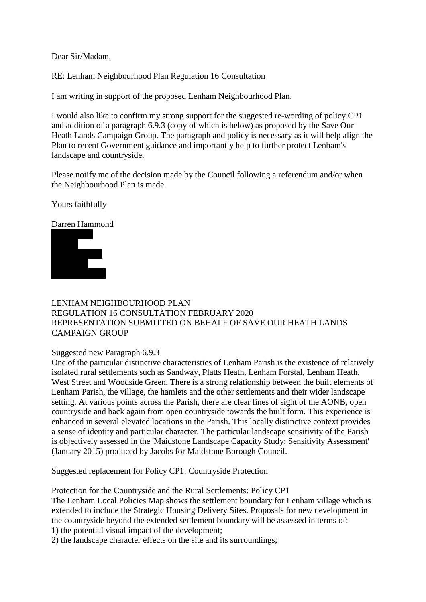Dear Sir/Madam,

RE: Lenham Neighbourhood Plan Regulation 16 Consultation

I am writing in support of the proposed Lenham Neighbourhood Plan.

I would also like to confirm my strong support for the suggested re-wording of policy CP1 and addition of a paragraph 6.9.3 (copy of which is below) as proposed by the Save Our Heath Lands Campaign Group. The paragraph and policy is necessary as it will help align the Plan to recent Government guidance and importantly help to further protect Lenham's landscape and countryside.

Please notify me of the decision made by the Council following a referendum and/or when the Neighbourhood Plan is made.

Yours faithfully

Darren Hammond



## LENHAM NEIGHBOURHOOD PLAN REGULATION 16 CONSULTATION FEBRUARY 2020 REPRESENTATION SUBMITTED ON BEHALF OF SAVE OUR HEATH LANDS CAMPAIGN GROUP

Suggested new Paragraph 6.9.3

One of the particular distinctive characteristics of Lenham Parish is the existence of relatively isolated rural settlements such as Sandway, Platts Heath, Lenham Forstal, Lenham Heath, West Street and Woodside Green. There is a strong relationship between the built elements of Lenham Parish, the village, the hamlets and the other settlements and their wider landscape setting. At various points across the Parish, there are clear lines of sight of the AONB, open countryside and back again from open countryside towards the built form. This experience is enhanced in several elevated locations in the Parish. This locally distinctive context provides a sense of identity and particular character. The particular landscape sensitivity of the Parish is objectively assessed in the 'Maidstone Landscape Capacity Study: Sensitivity Assessment' (January 2015) produced by Jacobs for Maidstone Borough Council.

Suggested replacement for Policy CP1: Countryside Protection

Protection for the Countryside and the Rural Settlements: Policy CP1 The Lenham Local Policies Map shows the settlement boundary for Lenham village which is extended to include the Strategic Housing Delivery Sites. Proposals for new development in the countryside beyond the extended settlement boundary will be assessed in terms of: 1) the potential visual impact of the development;

2) the landscape character effects on the site and its surroundings;